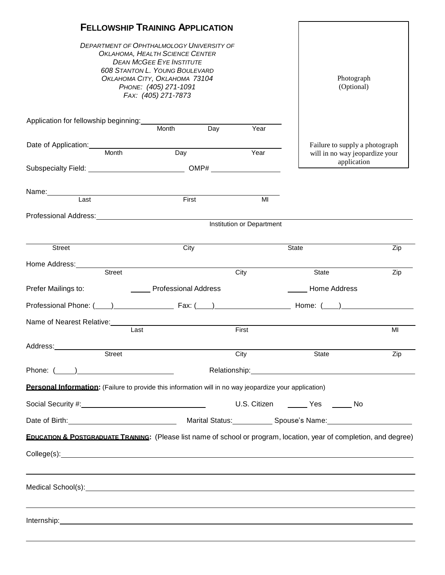|                                                                                                                                                                                                                                                  |               | <b>FELLOWSHIP TRAINING APPLICATION</b> |                              |                                  |                                                                                                                                                                                                                                      |     |  |
|--------------------------------------------------------------------------------------------------------------------------------------------------------------------------------------------------------------------------------------------------|---------------|----------------------------------------|------------------------------|----------------------------------|--------------------------------------------------------------------------------------------------------------------------------------------------------------------------------------------------------------------------------------|-----|--|
| <b>DEPARTMENT OF OPHTHALMOLOGY UNIVERSITY OF</b><br>OKLAHOMA, HEALTH SCIENCE CENTER<br><b>DEAN MCGEE EYE INSTITUTE</b><br><b>608 STANTON L. YOUNG BOULEVARD</b><br>OKLAHOMA CITY, OKLAHOMA 73104<br>PHONE: (405) 271-1091<br>FAX: (405) 271-7873 |               |                                        |                              |                                  | Photograph<br>(Optional)                                                                                                                                                                                                             |     |  |
| Application for fellowship beginning:                                                                                                                                                                                                            |               | Month                                  |                              |                                  |                                                                                                                                                                                                                                      |     |  |
|                                                                                                                                                                                                                                                  |               |                                        | $\overline{\phantom{a}}$ Day | Year                             |                                                                                                                                                                                                                                      |     |  |
| Date of Application: Month Day                                                                                                                                                                                                                   |               |                                        |                              | Year                             | Failure to supply a photograph<br>will in no way jeopardize your                                                                                                                                                                     |     |  |
| Subspecialty Field: COMP#                                                                                                                                                                                                                        |               |                                        |                              |                                  | application                                                                                                                                                                                                                          |     |  |
| Name: Last First                                                                                                                                                                                                                                 |               |                                        |                              |                                  |                                                                                                                                                                                                                                      |     |  |
|                                                                                                                                                                                                                                                  |               |                                        |                              | MI                               |                                                                                                                                                                                                                                      |     |  |
|                                                                                                                                                                                                                                                  |               |                                        |                              | <b>Institution or Department</b> |                                                                                                                                                                                                                                      |     |  |
|                                                                                                                                                                                                                                                  |               |                                        |                              |                                  |                                                                                                                                                                                                                                      |     |  |
| <b>Street</b>                                                                                                                                                                                                                                    |               | City                                   |                              |                                  | State                                                                                                                                                                                                                                | Zip |  |
|                                                                                                                                                                                                                                                  | <b>Street</b> |                                        |                              | City                             | State                                                                                                                                                                                                                                | Zip |  |
| Prefer Mailings to:                                                                                                                                                                                                                              |               | <b>Example 2 Professional Address</b>  |                              |                                  | <b>Home Address</b>                                                                                                                                                                                                                  |     |  |
|                                                                                                                                                                                                                                                  |               |                                        |                              |                                  |                                                                                                                                                                                                                                      |     |  |
|                                                                                                                                                                                                                                                  |               |                                        |                              |                                  |                                                                                                                                                                                                                                      |     |  |
|                                                                                                                                                                                                                                                  | Last          |                                        |                              | First                            |                                                                                                                                                                                                                                      | MI  |  |
| Address: No. 1997                                                                                                                                                                                                                                |               |                                        |                              |                                  |                                                                                                                                                                                                                                      |     |  |
| <b>Street</b>                                                                                                                                                                                                                                    |               | City                                   |                              |                                  | State                                                                                                                                                                                                                                | Zip |  |
| Phone: ( <u>2004)</u>                                                                                                                                                                                                                            |               |                                        |                              |                                  |                                                                                                                                                                                                                                      |     |  |
| Personal Information: (Failure to provide this information will in no way jeopardize your application)                                                                                                                                           |               |                                        |                              |                                  |                                                                                                                                                                                                                                      |     |  |
|                                                                                                                                                                                                                                                  |               |                                        |                              |                                  | U.S. Citizen _______ Yes ______ No                                                                                                                                                                                                   |     |  |
|                                                                                                                                                                                                                                                  |               |                                        |                              |                                  | Date of Birth: <u>Communication and Marial Status: Communication Spouse's Name: Communication and Discover and Discover and Discover and Discover and Discover and Discover and Discover and Discover and Discover and Discover </u> |     |  |
|                                                                                                                                                                                                                                                  |               |                                        |                              |                                  | <b>EDUCATION &amp; POSTGRADUATE TRAINING:</b> (Please list name of school or program, location, year of completion, and degree)                                                                                                      |     |  |
|                                                                                                                                                                                                                                                  |               |                                        |                              |                                  |                                                                                                                                                                                                                                      |     |  |
|                                                                                                                                                                                                                                                  |               |                                        |                              |                                  | Medical School(s): example and a series of the series of the series of the series of the series of the series of the series of the series of the series of the series of the series of the series of the series of the series        |     |  |
|                                                                                                                                                                                                                                                  |               |                                        |                              |                                  |                                                                                                                                                                                                                                      |     |  |